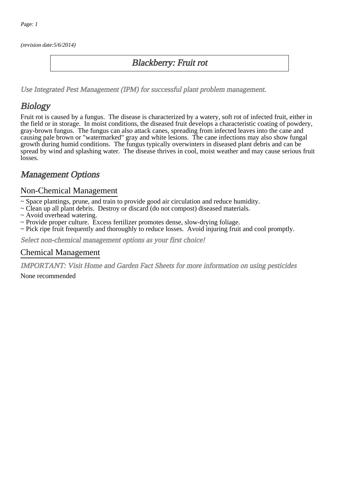(revision date:5/6/2014)

### Blackberry: Fruit rot

[Use Integrated Pest Management \(IPM\) for successful plant problem management.](http://pep.wsu.edu/Home_Garden/H_G_Pesticide_info/urban_Integrated_Pest_Managmen/)

## **Biology**

Fruit rot is caused by a fungus. The disease is characterized by a watery, soft rot of infected fruit, either in the field or in storage. In moist conditions, the diseased fruit develops a characteristic coating of powdery, gray-brown fungus. The fungus can also attack canes, spreading from infected leaves into the cane and causing pale brown or "watermarked" gray and white lesions. The cane infections may also show fungal growth during humid conditions. The fungus typically overwinters in diseased plant debris and can be spread by wind and splashing water. The disease thrives in cool, moist weather and may cause serious fruit losses.

## Management Options

#### Non-Chemical Management

- ~ Space plantings, prune, and train to provide good air circulation and reduce humidity.
- ~ Clean up all plant debris. Destroy or discard (do not compost) diseased materials.
- ~ Avoid overhead watering.
- ~ Provide proper culture. Excess fertilizer promotes dense, slow-drying foliage.
- ~ Pick ripe fruit frequently and thoroughly to reduce losses. Avoid injuring fruit and cool promptly.

Select non-chemical management options as your first choice!

#### Chemical Management

IMPORTANT: [Visit Home and Garden Fact Sheets for more information on using pesticides](http://pep.wsu.edu/Home_Garden/H_G_Pesticide_info/)

None recommended